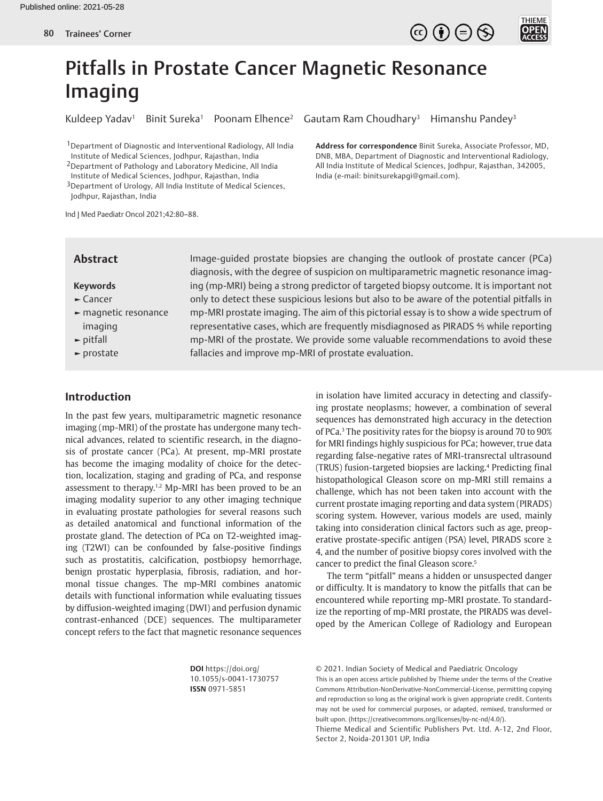



# Pitfalls in Prostate Cancer Magnetic Resonance Imaging

1Department of Diagnostic and Interventional Radiology, All India Institute of Medical Sciences, Jodhpur, Rajasthan, India

2Department of Pathology and Laboratory Medicine, All India Institute of Medical Sciences, Jodhpur, Rajasthan, India 3Department of Urology, All India Institute of Medical Sciences,

Jodhpur, Rajasthan, India

Ind J Med Paediatr Oncol 2021;42:80–88.

## Kuldeep Yadav<sup>1</sup> Binit Sureka<sup>1</sup> Poonam Elhence<sup>2</sup> Gautam Ram Choudhary<sup>3</sup> Himanshu Pandey<sup>3</sup>

**Address for correspondence** Binit Sureka, Associate Professor, MD, DNB, MBA, Department of Diagnostic and Interventional Radiology, All India Institute of Medical Sciences, Jodhpur, Rajasthan, 342005, India (e-mail: binitsurekapgi@gmail.com).

## **Abstract**

## **Keywords**

- **►** Cancer
- **►** magnetic resonance imaging
- **►** pitfall
- **►** prostate

Image-guided prostate biopsies are changing the outlook of prostate cancer (PCa) diagnosis, with the degree of suspicion on multiparametric magnetic resonance imaging (mp-MRI) being a strong predictor of targeted biopsy outcome. It is important not only to detect these suspicious lesions but also to be aware of the potential pitfalls in mp-MRI prostate imaging. The aim of this pictorial essay is to show a wide spectrum of representative cases, which are frequently misdiagnosed as PIRADS ⅘ while reporting mp-MRI of the prostate. We provide some valuable recommendations to avoid these fallacies and improve mp-MRI of prostate evaluation.

# **Introduction**

In the past few years, multiparametric magnetic resonance imaging (mp-MRI) of the prostate has undergone many technical advances, related to scientific research, in the diagnosis of prostate cancer (PCa). At present, mp-MRI prostate has become the imaging modality of choice for the detection, localization, staging and grading of PCa, and response assessment to therapy.<sup>1,2</sup> Mp-MRI has been proved to be an imaging modality superior to any other imaging technique in evaluating prostate pathologies for several reasons such as detailed anatomical and functional information of the prostate gland. The detection of PCa on T2-weighted imaging (T2WI) can be confounded by false-positive findings such as prostatitis, calcification, postbiopsy hemorrhage, benign prostatic hyperplasia, fibrosis, radiation, and hormonal tissue changes. The mp-MRI combines anatomic details with functional information while evaluating tissues by diffusion-weighted imaging (DWI) and perfusion dynamic contrast-enhanced (DCE) sequences. The multiparameter concept refers to the fact that magnetic resonance sequences

in isolation have limited accuracy in detecting and classifying prostate neoplasms; however, a combination of several sequences has demonstrated high accuracy in the detection of PCa.3 The positivity rates for the biopsy is around 70 to 90% for MRI findings highly suspicious for PCa; however, true data regarding false-negative rates of MRI-transrectal ultrasound (TRUS) fusion-targeted biopsies are lacking.<sup>4</sup> Predicting final histopathological Gleason score on mp-MRI still remains a challenge, which has not been taken into account with the current prostate imaging reporting and data system (PIRADS) scoring system. However, various models are used, mainly taking into consideration clinical factors such as age, preoperative prostate-specific antigen (PSA) level, PIRADS score ≥ 4, and the number of positive biopsy cores involved with the cancer to predict the final Gleason score.<sup>5</sup>

The term "pitfall" means a hidden or unsuspected danger or difficulty. It is mandatory to know the pitfalls that can be encountered while reporting mp-MRI prostate. To standardize the reporting of mp-MRI prostate, the PIRADS was developed by the American College of Radiology and European

**DOI** https://doi.org/ 10.1055/s-0041-1730757 **ISSN** 0971-5851

© 2021. Indian Society of Medical and Paediatric Oncology This is an open access article published by Thieme under the terms of the Creative Commons Attribution-NonDerivative-NonCommercial-License, permitting copying and reproduction so long as the original work is given appropriate credit. Contents may not be used for commercial purposes, or adapted, remixed, transformed or built upon. (https://creativecommons.org/licenses/by-nc-nd/4.0/).

Thieme Medical and Scientific Publishers Pvt. Ltd. A-12, 2nd Floor, Sector 2, Noida-201301 UP, India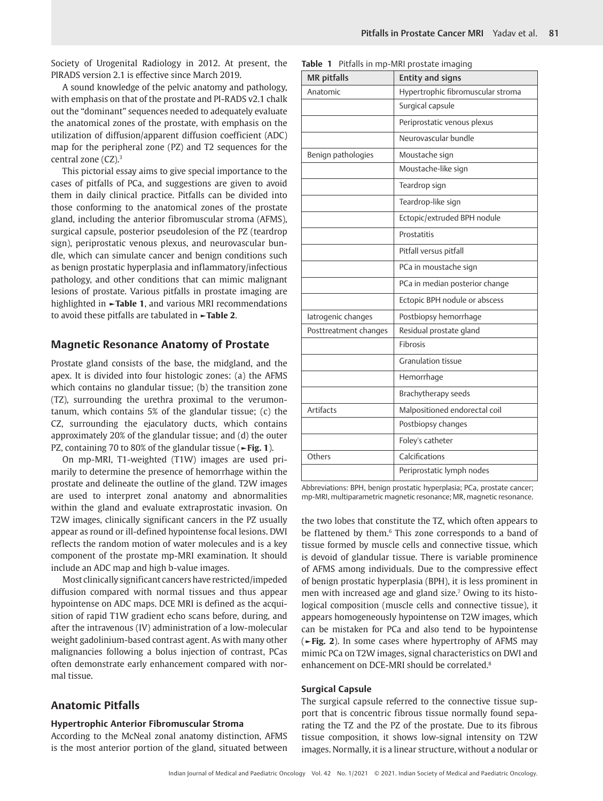Society of Urogenital Radiology in 2012. At present, the PIRADS version 2.1 is effective since March 2019.

A sound knowledge of the pelvic anatomy and pathology, with emphasis on that of the prostate and PI-RADS v2.1 chalk out the "dominant" sequences needed to adequately evaluate the anatomical zones of the prostate, with emphasis on the utilization of diffusion/apparent diffusion coefficient (ADC) map for the peripheral zone (PZ) and T2 sequences for the central zone (CZ).3

This pictorial essay aims to give special importance to the cases of pitfalls of PCa, and suggestions are given to avoid them in daily clinical practice. Pitfalls can be divided into those conforming to the anatomical zones of the prostate gland, including the anterior fibromuscular stroma (AFMS), surgical capsule, posterior pseudolesion of the PZ (teardrop sign), periprostatic venous plexus, and neurovascular bundle, which can simulate cancer and benign conditions such as benign prostatic hyperplasia and inflammatory/infectious pathology, and other conditions that can mimic malignant lesions of prostate. Various pitfalls in prostate imaging are highlighted in **►Table 1**, and various MRI recommendations to avoid these pitfalls are tabulated in **►Table 2**.

## **Magnetic Resonance Anatomy of Prostate**

Prostate gland consists of the base, the midgland, and the apex. It is divided into four histologic zones: (a) the AFMS which contains no glandular tissue; (b) the transition zone (TZ), surrounding the urethra proximal to the verumontanum, which contains 5% of the glandular tissue; (c) the CZ, surrounding the ejaculatory ducts, which contains approximately 20% of the glandular tissue; and (d) the outer PZ, containing 70 to 80% of the glandular tissue (**►Fig. 1**).

On mp-MRI, T1-weighted (T1W) images are used primarily to determine the presence of hemorrhage within the prostate and delineate the outline of the gland. T2W images are used to interpret zonal anatomy and abnormalities within the gland and evaluate extraprostatic invasion. On T2W images, clinically significant cancers in the PZ usually appear as round or ill-defined hypointense focal lesions. DWI reflects the random motion of water molecules and is a key component of the prostate mp-MRI examination. It should include an ADC map and high b-value images.

Most clinically significant cancers have restricted/impeded diffusion compared with normal tissues and thus appear hypointense on ADC maps. DCE MRI is defined as the acquisition of rapid T1W gradient echo scans before, during, and after the intravenous (IV) administration of a low-molecular weight gadolinium-based contrast agent. As with many other malignancies following a bolus injection of contrast, PCas often demonstrate early enhancement compared with normal tissue.

# **Anatomic Pitfalls**

#### **Hypertrophic Anterior Fibromuscular Stroma**

According to the McNeal zonal anatomy distinction, AFMS is the most anterior portion of the gland, situated between

|  |  |  |  |  |  |  | <b>Table 1</b> Pitfalls in mp-MRI prostate imaging |
|--|--|--|--|--|--|--|----------------------------------------------------|
|--|--|--|--|--|--|--|----------------------------------------------------|

| <b>MR</b> pitfalls    | <b>Entity and signs</b>           |  |  |  |
|-----------------------|-----------------------------------|--|--|--|
| Anatomic              | Hypertrophic fibromuscular stroma |  |  |  |
|                       | Surgical capsule                  |  |  |  |
|                       | Periprostatic venous plexus       |  |  |  |
|                       | Neurovascular bundle              |  |  |  |
| Benign pathologies    | Moustache sign                    |  |  |  |
|                       | Moustache-like sign               |  |  |  |
|                       | Teardrop sign                     |  |  |  |
|                       | Teardrop-like sign                |  |  |  |
|                       | Ectopic/extruded BPH nodule       |  |  |  |
|                       | Prostatitis                       |  |  |  |
|                       | Pitfall versus pitfall            |  |  |  |
|                       | PCa in moustache sign             |  |  |  |
|                       | PCa in median posterior change    |  |  |  |
|                       | Ectopic BPH nodule or abscess     |  |  |  |
| latrogenic changes    | Postbiopsy hemorrhage             |  |  |  |
| Posttreatment changes | Residual prostate gland           |  |  |  |
|                       | <b>Fibrosis</b>                   |  |  |  |
|                       | <b>Granulation tissue</b>         |  |  |  |
|                       | Hemorrhage                        |  |  |  |
|                       | Brachytherapy seeds               |  |  |  |
| <b>Artifacts</b>      | Malpositioned endorectal coil     |  |  |  |
|                       | Postbiopsy changes                |  |  |  |
|                       | Foley's catheter                  |  |  |  |
| Others                | Calcifications                    |  |  |  |
|                       | Periprostatic lymph nodes         |  |  |  |

Abbreviations: BPH, benign prostatic hyperplasia; PCa, prostate cancer; mp-MRI, multiparametric magnetic resonance; MR, magnetic resonance.

the two lobes that constitute the TZ, which often appears to be flattened by them.<sup>6</sup> This zone corresponds to a band of tissue formed by muscle cells and connective tissue, which is devoid of glandular tissue. There is variable prominence of AFMS among individuals. Due to the compressive effect of benign prostatic hyperplasia (BPH), it is less prominent in men with increased age and gland size.<sup>7</sup> Owing to its histological composition (muscle cells and connective tissue), it appears homogeneously hypointense on T2W images, which can be mistaken for PCa and also tend to be hypointense (**►Fig. 2**). In some cases where hypertrophy of AFMS may mimic PCa on T2W images, signal characteristics on DWI and enhancement on DCE-MRI should be correlated.8

#### **Surgical Capsule**

The surgical capsule referred to the connective tissue support that is concentric fibrous tissue normally found separating the TZ and the PZ of the prostate. Due to its fibrous tissue composition, it shows low-signal intensity on T2W images. Normally, it is a linear structure, without a nodular or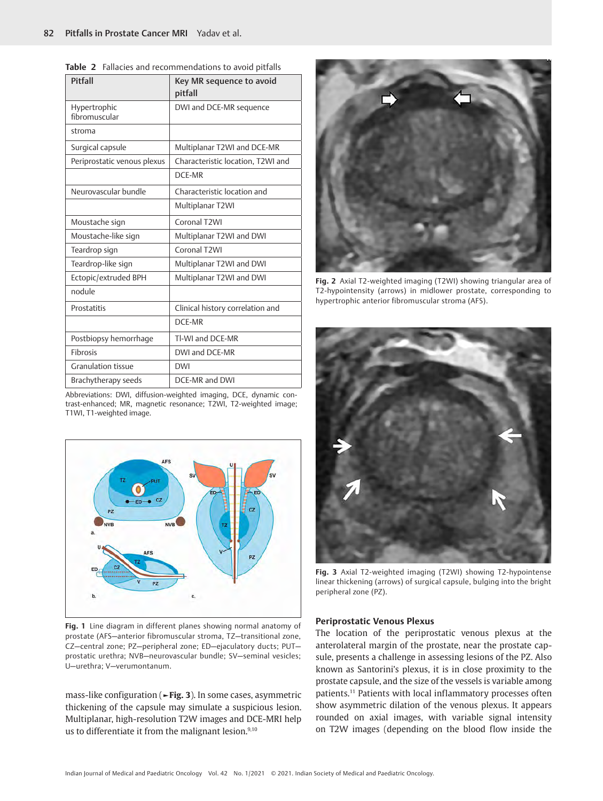| Pitfall                       | Key MR sequence to avoid<br>pitfall |
|-------------------------------|-------------------------------------|
| Hypertrophic<br>fibromuscular | DWI and DCE-MR sequence             |
| stroma                        |                                     |
| Surgical capsule              | Multiplanar T2WI and DCE-MR         |
| Periprostatic venous plexus   | Characteristic location, T2WI and   |
|                               | DCF-MR                              |
| Neurovascular bundle          | Characteristic location and         |
|                               | Multiplanar T2WI                    |
| Moustache sign                | Coronal T <sub>2</sub> WI           |
| Moustache-like sign           | Multiplanar T2WI and DWI            |
| Teardrop sign                 | Coronal T2WI                        |
| Teardrop-like sign            | Multiplanar T2WI and DWI            |
| Ectopic/extruded BPH          | Multiplanar T2WI and DWI            |
| nodule                        |                                     |
| Prostatitis                   | Clinical history correlation and    |
|                               | DCE-MR                              |
| Postbiopsy hemorrhage         | Tl-WI and DCE-MR                    |
| <b>Fibrosis</b>               | DWI and DCE-MR                      |
| <b>Granulation tissue</b>     | <b>DWI</b>                          |
| Brachytherapy seeds           | DCE-MR and DWI                      |

|  |  |  |  |  |  | <b>Table 2</b> Fallacies and recommendations to avoid pitfalls |  |  |  |  |  |
|--|--|--|--|--|--|----------------------------------------------------------------|--|--|--|--|--|
|--|--|--|--|--|--|----------------------------------------------------------------|--|--|--|--|--|

Abbreviations: DWI, diffusion-weighted imaging, DCE, dynamic contrast-enhanced; MR, magnetic resonance; T2WI, T2-weighted image; T1WI, T1-weighted image.



**Fig. 1** Line diagram in different planes showing normal anatomy of prostate (AFS—anterior fibromuscular stroma, TZ—transitional zone, CZ—central zone; PZ—peripheral zone; ED—ejaculatory ducts; PUT prostatic urethra; NVB—neurovascular bundle; SV—seminal vesicles; U—urethra; V—verumontanum.

mass-like configuration (**►Fig. 3**). In some cases, asymmetric thickening of the capsule may simulate a suspicious lesion. Multiplanar, high-resolution T2W images and DCE-MRI help us to differentiate it from the malignant lesion.<sup>9,10</sup>



**Fig. 2** Axial T2-weighted imaging (T2WI) showing triangular area of T2-hypointensity (arrows) in midlower prostate, corresponding to hypertrophic anterior fibromuscular stroma (AFS).



**Fig. 3** Axial T2-weighted imaging (T2WI) showing T2-hypointense linear thickening (arrows) of surgical capsule, bulging into the bright peripheral zone (PZ).

#### **Periprostatic Venous Plexus**

The location of the periprostatic venous plexus at the anterolateral margin of the prostate, near the prostate capsule, presents a challenge in assessing lesions of the PZ. Also known as Santorini's plexus, it is in close proximity to the prostate capsule, and the size of the vessels is variable among patients.11 Patients with local inflammatory processes often show asymmetric dilation of the venous plexus. It appears rounded on axial images, with variable signal intensity on T2W images (depending on the blood flow inside the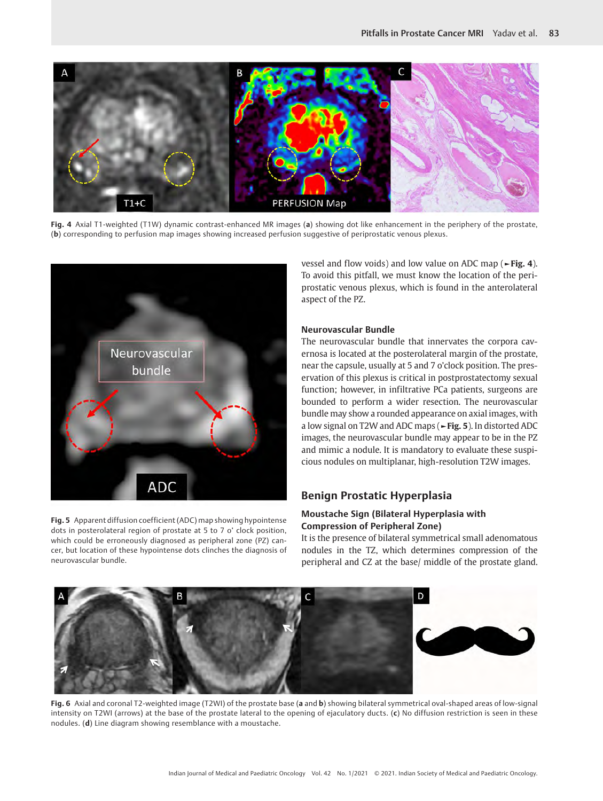

**Fig. 4** Axial T1-weighted (T1W) dynamic contrast-enhanced MR images (**a**) showing dot like enhancement in the periphery of the prostate, (**b**) corresponding to perfusion map images showing increased perfusion suggestive of periprostatic venous plexus.



**Fig. 5** Apparent diffusion coefficient (ADC) map showing hypointense dots in posterolateral region of prostate at 5 to 7 o' clock position, which could be erroneously diagnosed as peripheral zone (PZ) cancer, but location of these hypointense dots clinches the diagnosis of neurovascular bundle.

vessel and flow voids) and low value on ADC map (**►Fig. 4**). To avoid this pitfall, we must know the location of the periprostatic venous plexus, which is found in the anterolateral aspect of the PZ.

#### **Neurovascular Bundle**

The neurovascular bundle that innervates the corpora cavernosa is located at the posterolateral margin of the prostate, near the capsule, usually at 5 and 7 o'clock position. The preservation of this plexus is critical in postprostatectomy sexual function; however, in infiltrative PCa patients, surgeons are bounded to perform a wider resection. The neurovascular bundle may show a rounded appearance on axial images, with a low signal on T2W and ADC maps (**►Fig. 5**). In distorted ADC images, the neurovascular bundle may appear to be in the PZ and mimic a nodule. It is mandatory to evaluate these suspicious nodules on multiplanar, high-resolution T2W images.

# **Benign Prostatic Hyperplasia**

# **Moustache Sign (Bilateral Hyperplasia with Compression of Peripheral Zone)**

It is the presence of bilateral symmetrical small adenomatous nodules in the TZ, which determines compression of the peripheral and CZ at the base/ middle of the prostate gland.



**Fig. 6** Axial and coronal T2-weighted image (T2WI) of the prostate base (**a** and **b**) showing bilateral symmetrical oval-shaped areas of low-signal intensity on T2WI (arrows) at the base of the prostate lateral to the opening of ejaculatory ducts. (**c**) No diffusion restriction is seen in these nodules. (**d**) Line diagram showing resemblance with a moustache.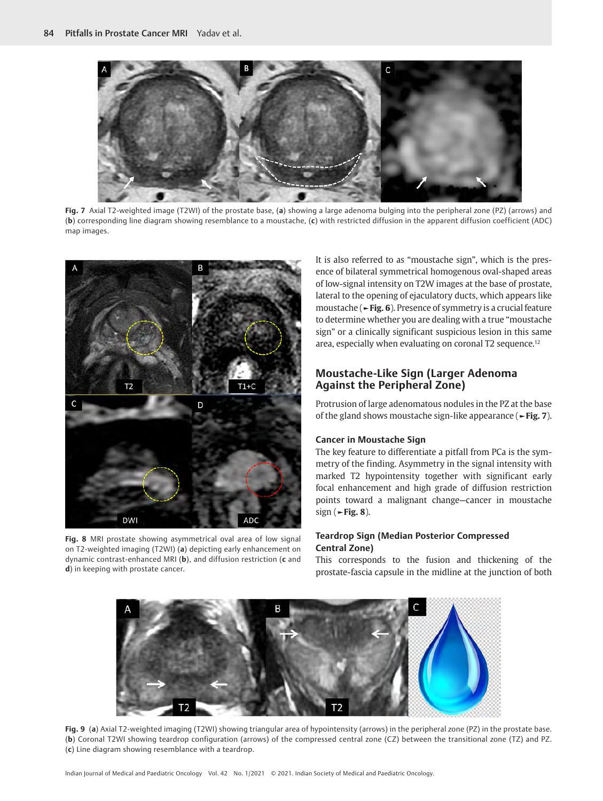

**Fig. 7** Axial T2-weighted image (T2WI) of the prostate base, (**a**) showing a large adenoma bulging into the peripheral zone (PZ) (arrows) and (**b**) corresponding line diagram showing resemblance to a moustache, (**c**) with restricted diffusion in the apparent diffusion coefficient (ADC) map images.



**Fig. 8** MRI prostate showing asymmetrical oval area of low signal on T2-weighted imaging (T2WI) (**a**) depicting early enhancement on dynamic contrast-enhanced MRI (**b**), and diffusion restriction (**c** and **d**) in keeping with prostate cancer.

It is also referred to as "moustache sign", which is the presence of bilateral symmetrical homogenous oval-shaped areas of low-signal intensity on T2W images at the base of prostate, lateral to the opening of ejaculatory ducts, which appears like moustache (**►Fig. 6**). Presence of symmetry is a crucial feature to determine whether you are dealing with a true "moustache sign" or a clinically significant suspicious lesion in this same area, especially when evaluating on coronal T2 sequence.<sup>12</sup>

# **Moustache-Like Sign (Larger Adenoma Against the Peripheral Zone)**

Protrusion of large adenomatous nodules in the PZ at the base of the gland shows moustache sign-like appearance (**►Fig. 7**).

#### **Cancer in Moustache Sign**

The key feature to differentiate a pitfall from PCa is the symmetry of the finding. Asymmetry in the signal intensity with marked T2 hypointensity together with significant early focal enhancement and high grade of diffusion restriction points toward a malignant change—cancer in moustache sign (**►Fig. 8**).

# **Teardrop Sign (Median Posterior Compressed Central Zone)**

This corresponds to the fusion and thickening of the prostate-fascia capsule in the midline at the junction of both



**Fig. 9** (**a**) Axial T2-weighted imaging (T2WI) showing triangular area of hypointensity (arrows) in the peripheral zone (PZ) in the prostate base. (**b**) Coronal T2WI showing teardrop configuration (arrows) of the compressed central zone (CZ) between the transitional zone (TZ) and PZ. (**c**) Line diagram showing resemblance with a teardrop.

Indian Journal of Medical and Paediatric Oncology Vol. 42 No. 1/2021 © 2021. Indian Society of Medical and Paediatric Oncology.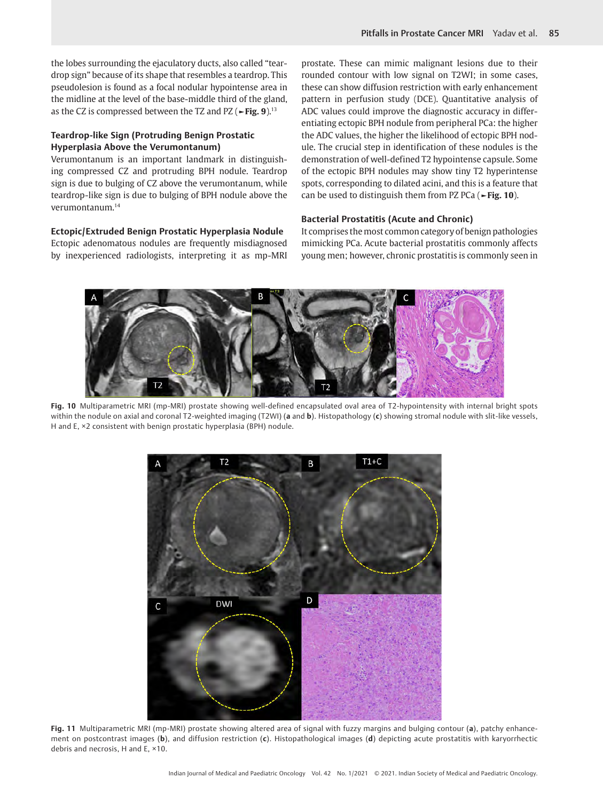the lobes surrounding the ejaculatory ducts, also called "teardrop sign" because of its shape that resembles a teardrop. This pseudolesion is found as a focal nodular hypointense area in the midline at the level of the base-middle third of the gland, as the CZ is compressed between the TZ and PZ (**►Fig. 9**).13

## **Teardrop-like Sign (Protruding Benign Prostatic Hyperplasia Above the Verumontanum)**

Verumontanum is an important landmark in distinguishing compressed CZ and protruding BPH nodule. Teardrop sign is due to bulging of CZ above the verumontanum, while teardrop-like sign is due to bulging of BPH nodule above the verumontanum.14

#### **Ectopic/Extruded Benign Prostatic Hyperplasia Nodule**

Ectopic adenomatous nodules are frequently misdiagnosed by inexperienced radiologists, interpreting it as mp-MRI prostate. These can mimic malignant lesions due to their rounded contour with low signal on T2WI; in some cases, these can show diffusion restriction with early enhancement pattern in perfusion study (DCE). Quantitative analysis of ADC values could improve the diagnostic accuracy in differentiating ectopic BPH nodule from peripheral PCa: the higher the ADC values, the higher the likelihood of ectopic BPH nodule. The crucial step in identification of these nodules is the demonstration of well-defined T2 hypointense capsule. Some of the ectopic BPH nodules may show tiny T2 hyperintense spots, corresponding to dilated acini, and this is a feature that can be used to distinguish them from PZ PCa (**►Fig. 10**).

## **Bacterial Prostatitis (Acute and Chronic)**

It comprises the most common category of benign pathologies mimicking PCa. Acute bacterial prostatitis commonly affects young men; however, chronic prostatitis is commonly seen in



**Fig. 10** Multiparametric MRI (mp-MRI) prostate showing well-defined encapsulated oval area of T2-hypointensity with internal bright spots within the nodule on axial and coronal T2-weighted imaging (T2WI) (**a** and **b**). Histopathology (**c**) showing stromal nodule with slit-like vessels, H and E, ×2 consistent with benign prostatic hyperplasia (BPH) nodule.



**Fig. 11** Multiparametric MRI (mp-MRI) prostate showing altered area of signal with fuzzy margins and bulging contour (**a**), patchy enhancement on postcontrast images (**b**), and diffusion restriction (**c**). Histopathological images (**d**) depicting acute prostatitis with karyorrhectic debris and necrosis, H and E, ×10.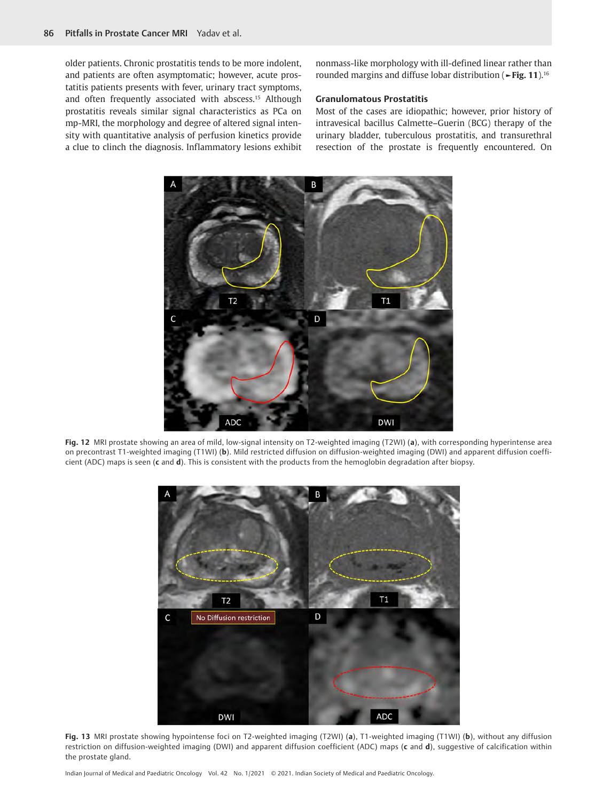older patients. Chronic prostatitis tends to be more indolent, and patients are often asymptomatic; however, acute prostatitis patients presents with fever, urinary tract symptoms, and often frequently associated with abscess.15 Although prostatitis reveals similar signal characteristics as PCa on mp-MRI, the morphology and degree of altered signal intensity with quantitative analysis of perfusion kinetics provide a clue to clinch the diagnosis. Inflammatory lesions exhibit

nonmass-like morphology with ill-defined linear rather than rounded margins and diffuse lobar distribution (**►Fig. 11**).16

#### **Granulomatous Prostatitis**

Most of the cases are idiopathic; however, prior history of intravesical bacillus Calmette–Guerin (BCG) therapy of the urinary bladder, tuberculous prostatitis, and transurethral resection of the prostate is frequently encountered. On



**Fig. 12** MRI prostate showing an area of mild, low-signal intensity on T2-weighted imaging (T2WI) (**a**), with corresponding hyperintense area on precontrast T1-weighted imaging (T1WI) (**b**). Mild restricted diffusion on diffusion-weighted imaging (DWI) and apparent diffusion coefficient (ADC) maps is seen (**c** and **d**). This is consistent with the products from the hemoglobin degradation after biopsy.



**Fig. 13** MRI prostate showing hypointense foci on T2-weighted imaging (T2WI) (**a**), T1-weighted imaging (T1WI) (**b**), without any diffusion restriction on diffusion-weighted imaging (DWI) and apparent diffusion coefficient (ADC) maps (**c** and **d**), suggestive of calcification within the prostate gland.

Indian Journal of Medical and Paediatric Oncology Vol. 42 No. 1/2021 © 2021. Indian Society of Medical and Paediatric Oncology.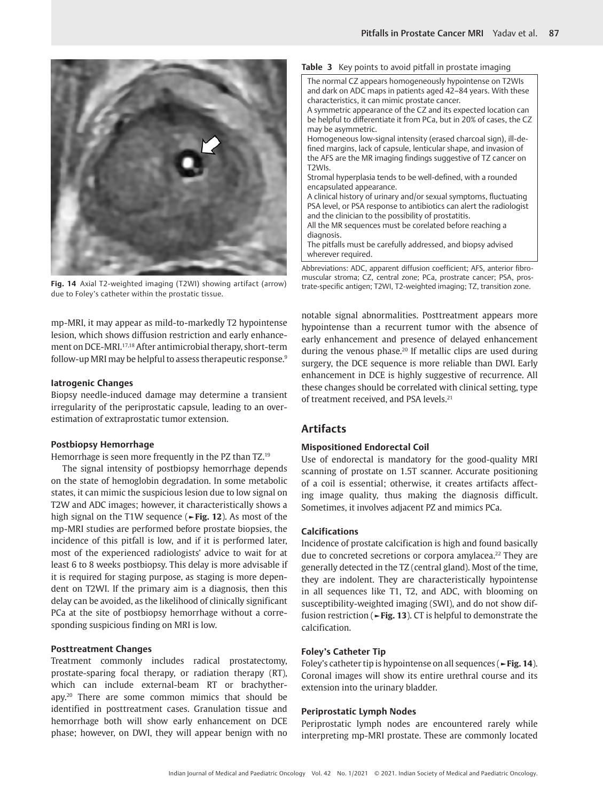

**Fig. 14** Axial T2-weighted imaging (T2WI) showing artifact (arrow) due to Foley's catheter within the prostatic tissue.

mp-MRI, it may appear as mild-to-markedly T2 hypointense lesion, which shows diffusion restriction and early enhancement on DCE-MRI.17,18 After antimicrobial therapy, short-term follow-up MRI may be helpful to assess therapeutic response.<sup>9</sup>

#### **Iatrogenic Changes**

Biopsy needle-induced damage may determine a transient irregularity of the periprostatic capsule, leading to an overestimation of extraprostatic tumor extension.

#### **Postbiopsy Hemorrhage**

Hemorrhage is seen more frequently in the PZ than TZ.19

The signal intensity of postbiopsy hemorrhage depends on the state of hemoglobin degradation. In some metabolic states, it can mimic the suspicious lesion due to low signal on T2W and ADC images; however, it characteristically shows a high signal on the T1W sequence (**►Fig. 12**). As most of the mp-MRI studies are performed before prostate biopsies, the incidence of this pitfall is low, and if it is performed later, most of the experienced radiologists' advice to wait for at least 6 to 8 weeks postbiopsy. This delay is more advisable if it is required for staging purpose, as staging is more dependent on T2WI. If the primary aim is a diagnosis, then this delay can be avoided, as the likelihood of clinically significant PCa at the site of postbiopsy hemorrhage without a corresponding suspicious finding on MRI is low.

#### **Posttreatment Changes**

Treatment commonly includes radical prostatectomy, prostate-sparing focal therapy, or radiation therapy (RT), which can include external-beam RT or brachytherapy.20 There are some common mimics that should be identified in posttreatment cases. Granulation tissue and hemorrhage both will show early enhancement on DCE phase; however, on DWI, they will appear benign with no

#### **Table 3** Key points to avoid pitfall in prostate imaging



T2WIs. Stromal hyperplasia tends to be well-defined, with a rounded encapsulated appearance.

A clinical history of urinary and/or sexual symptoms, fluctuating PSA level, or PSA response to antibiotics can alert the radiologist and the clinician to the possibility of prostatitis.

All the MR sequences must be corelated before reaching a diagnosis.

The pitfalls must be carefully addressed, and biopsy advised wherever required.

Abbreviations: ADC, apparent diffusion coefficient; AFS, anterior fibromuscular stroma; CZ, central zone; PCa, prostrate cancer; PSA, prostrate-specific antigen; T2WI, T2-weighted imaging; TZ, transition zone.

notable signal abnormalities. Posttreatment appears more hypointense than a recurrent tumor with the absence of early enhancement and presence of delayed enhancement during the venous phase.<sup>20</sup> If metallic clips are used during surgery, the DCE sequence is more reliable than DWI. Early enhancement in DCE is highly suggestive of recurrence. All these changes should be correlated with clinical setting, type of treatment received, and PSA levels.<sup>21</sup>

# **Artifacts**

#### **Mispositioned Endorectal Coil**

Use of endorectal is mandatory for the good-quality MRI scanning of prostate on 1.5T scanner. Accurate positioning of a coil is essential; otherwise, it creates artifacts affecting image quality, thus making the diagnosis difficult. Sometimes, it involves adjacent PZ and mimics PCa.

#### **Calcifications**

Incidence of prostate calcification is high and found basically due to concreted secretions or corpora amylacea.<sup>22</sup> They are generally detected in the TZ (central gland). Most of the time, they are indolent. They are characteristically hypointense in all sequences like T1, T2, and ADC, with blooming on susceptibility-weighted imaging (SWI), and do not show diffusion restriction (**►Fig. 13**). CT is helpful to demonstrate the calcification.

#### **Foley's Catheter Tip**

Foley's catheter tip is hypointense on all sequences (**►Fig. 14**). Coronal images will show its entire urethral course and its extension into the urinary bladder.

#### **Periprostatic Lymph Nodes**

Periprostatic lymph nodes are encountered rarely while interpreting mp-MRI prostate. These are commonly located